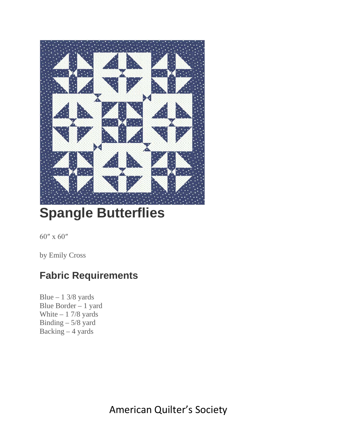

# **Spangle Butterflies**

60″ x 60″

by Emily Cross

#### **Fabric Requirements**

Blue  $-1$  3/8 yards Blue Border – 1 yard White  $-1$  7/8 yards Binding – 5/8 yard Backing  $-4$  yards

American Quilter's Society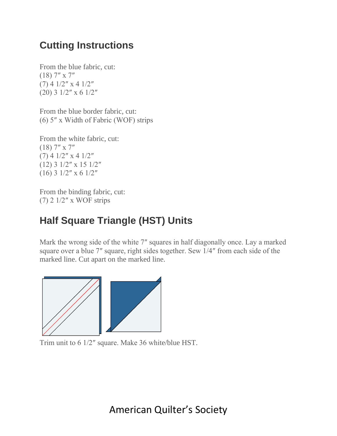#### **Cutting Instructions**

From the blue fabric, cut: (18) 7″ x 7″ (7) 4 1/2″ x 4 1/2″ (20) 3 1/2″ x 6 1/2″

From the blue border fabric, cut: (6) 5″ x Width of Fabric (WOF) strips

From the white fabric, cut: (18) 7″ x 7″  $(7)$  4 1/2" x 4 1/2" (12) 3 1/2″ x 15 1/2″ (16) 3 1/2″ x 6 1/2″

From the binding fabric, cut: (7) 2 1/2″ x WOF strips

## **Half Square Triangle (HST) Units**

Mark the wrong side of the white 7″ squares in half diagonally once. Lay a marked square over a blue 7″ square, right sides together. Sew 1/4″ from each side of the marked line. Cut apart on the marked line.



Trim unit to 6 1/2″ square. Make 36 white/blue HST.

American Quilter's Society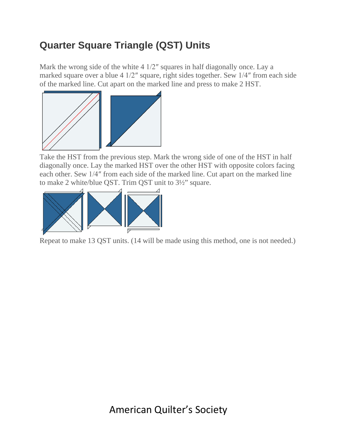## **Quarter Square Triangle (QST) Units**

Mark the wrong side of the white 4 1/2″ squares in half diagonally once. Lay a marked square over a blue 4 1/2″ square, right sides together. Sew 1/4″ from each side of the [marked](http://old.aqsblog.com/wp-content/uploads/2020/05/spangle-butterflies-hst.jpg) line. Cut apart on the marked line and press to make 2 HST.



Take the HST from the previous step. Mark the wrong side of one of the HST in half diagonally once. Lay the marked HST over the other HST with opposite colors facing each other. Sew 1/4″ from each side of the marked line. Cut apart on the marked line to make 2 [white/blue](http://old.aqsblog.com/wp-content/uploads/2020/05/spangle-butterflies-qst.jpg) QST. Trim QST unit to 3½" square.



Repeat to make 13 QST units. (14 will be made using this method, one is not needed.)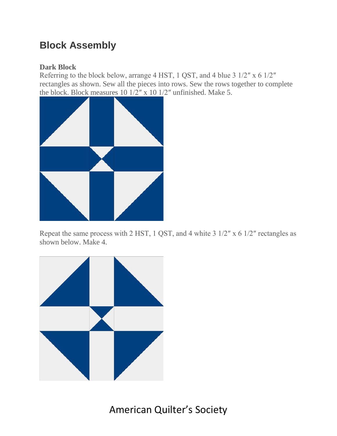#### **Block Assembly**

#### **Dark Block**

Referring to the block below, arrange 4 HST, 1 QST, and 4 blue 3 1/2″ x 6 1/2″ rectangles as shown. Sew all the pieces into rows. Sew the rows together to complete the block. Block measures 10 1/2″ x 10 1/2″ unfinished. Make 5.



Repeat the same process with 2 HST, 1 QST, and 4 white 3 1/2″ x 6 1/2″ rectangles as shown below. Make 4.

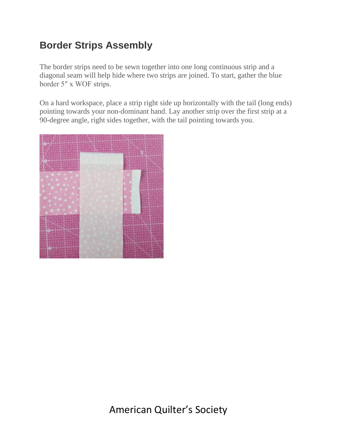#### **Border Strips Assembly**

The border strips need to be sewn together into one long continuous strip and a diagonal seam will help hide where two strips are joined. To start, gather the blue border 5″ x WOF strips.

On a hard workspace, place a strip right side up horizontally with the tail (long ends) pointing towards your non-dominant hand. Lay another strip over the first strip at a 90-degree angle, right sides together, with the tail pointing towards you.

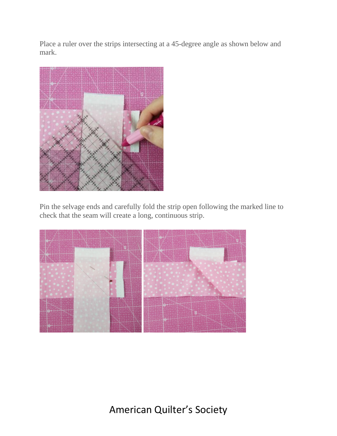Place a ruler over the strips intersecting at a 45-degree angle as shown below and mark.



Pin the selvage ends and carefully fold the strip open following the marked line to check that the seam will create a long, continuous strip.



American Quilter's Society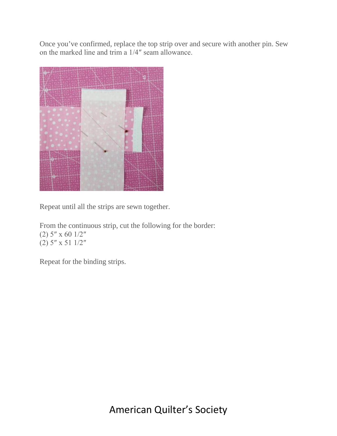Once you've confirmed, replace the top strip over and secure with another pin. Sew on the marked line and trim a 1/4″ seam allowance.



Repeat until all the strips are sewn together.

From the continuous strip, cut the following for the border: (2) 5″ x 60 1/2″ (2) 5″ x 51 1/2″

Repeat for the binding strips.